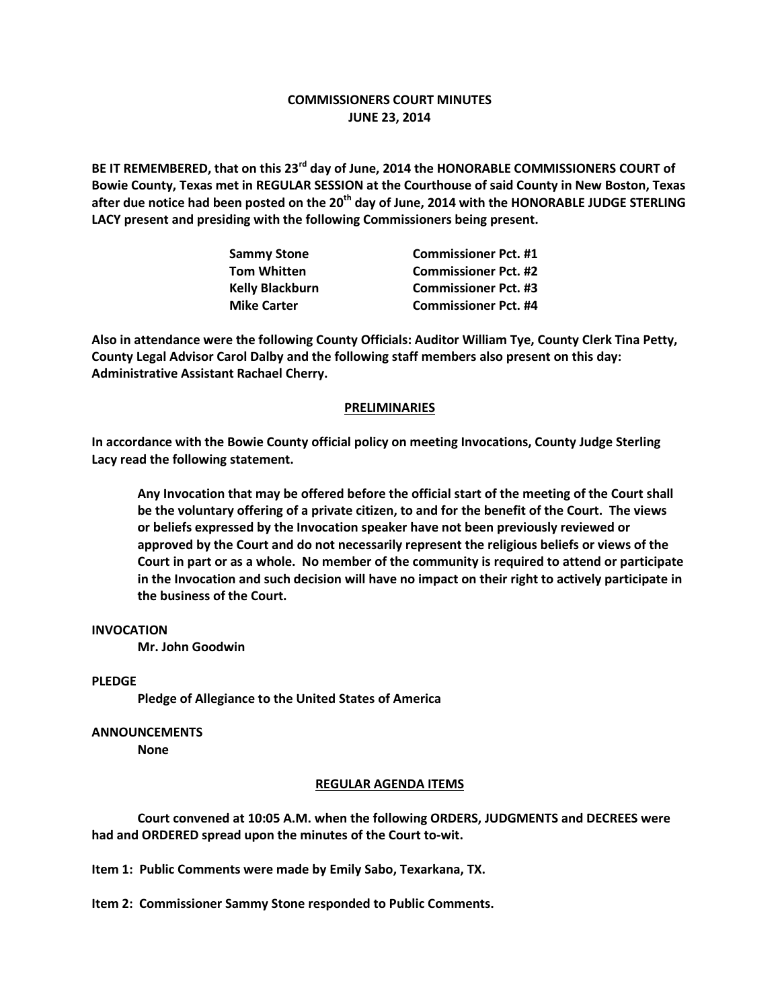# **COMMISSIONERS COURT MINUTES JUNE 23, 2014**

**BE IT REMEMBERED, that on this 23rd day of June, 2014 the HONORABLE COMMISSIONERS COURT of Bowie County, Texas met in REGULAR SESSION at the Courthouse of said County in New Boston, Texas after due notice had been posted on the 20th day of June, 2014 with the HONORABLE JUDGE STERLING LACY present and presiding with the following Commissioners being present.**

| <b>Sammy Stone</b>     | <b>Commissioner Pct. #1</b> |
|------------------------|-----------------------------|
| <b>Tom Whitten</b>     | <b>Commissioner Pct. #2</b> |
| <b>Kelly Blackburn</b> | <b>Commissioner Pct. #3</b> |
| <b>Mike Carter</b>     | <b>Commissioner Pct. #4</b> |

**Also in attendance were the following County Officials: Auditor William Tye, County Clerk Tina Petty, County Legal Advisor Carol Dalby and the following staff members also present on this day: Administrative Assistant Rachael Cherry.**

### **PRELIMINARIES**

**In accordance with the Bowie County official policy on meeting Invocations, County Judge Sterling Lacy read the following statement.**

**Any Invocation that may be offered before the official start of the meeting of the Court shall be the voluntary offering of a private citizen, to and for the benefit of the Court. The views or beliefs expressed by the Invocation speaker have not been previously reviewed or approved by the Court and do not necessarily represent the religious beliefs or views of the Court in part or as a whole. No member of the community is required to attend or participate in the Invocation and such decision will have no impact on their right to actively participate in the business of the Court.**

## **INVOCATION**

**Mr. John Goodwin**

### **PLEDGE**

**Pledge of Allegiance to the United States of America**

### **ANNOUNCEMENTS**

**None**

### **REGULAR AGENDA ITEMS**

**Court convened at 10:05 A.M. when the following ORDERS, JUDGMENTS and DECREES were had and ORDERED spread upon the minutes of the Court to-wit.**

**Item 1: Public Comments were made by Emily Sabo, Texarkana, TX.**

**Item 2: Commissioner Sammy Stone responded to Public Comments.**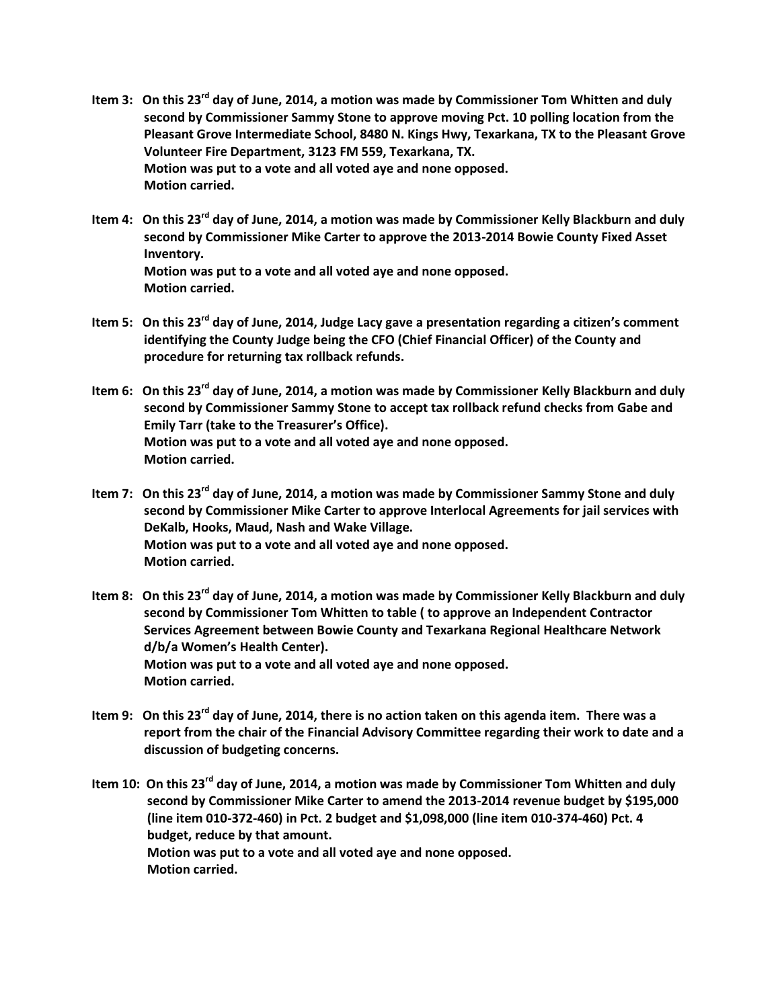- **Item 3: On this 23rd day of June, 2014, a motion was made by Commissioner Tom Whitten and duly second by Commissioner Sammy Stone to approve moving Pct. 10 polling location from the Pleasant Grove Intermediate School, 8480 N. Kings Hwy, Texarkana, TX to the Pleasant Grove Volunteer Fire Department, 3123 FM 559, Texarkana, TX. Motion was put to a vote and all voted aye and none opposed. Motion carried.**
- **Item 4: On this 23rd day of June, 2014, a motion was made by Commissioner Kelly Blackburn and duly second by Commissioner Mike Carter to approve the 2013-2014 Bowie County Fixed Asset Inventory. Motion was put to a vote and all voted aye and none opposed. Motion carried.**
- **Item 5: On this 23rd day of June, 2014, Judge Lacy gave a presentation regarding a citizen's comment identifying the County Judge being the CFO (Chief Financial Officer) of the County and procedure for returning tax rollback refunds.**
- **Item 6: On this 23rd day of June, 2014, a motion was made by Commissioner Kelly Blackburn and duly second by Commissioner Sammy Stone to accept tax rollback refund checks from Gabe and Emily Tarr (take to the Treasurer's Office). Motion was put to a vote and all voted aye and none opposed. Motion carried.**
- **Item 7: On this 23rd day of June, 2014, a motion was made by Commissioner Sammy Stone and duly second by Commissioner Mike Carter to approve Interlocal Agreements for jail services with DeKalb, Hooks, Maud, Nash and Wake Village. Motion was put to a vote and all voted aye and none opposed. Motion carried.**
- **Item 8: On this 23rd day of June, 2014, a motion was made by Commissioner Kelly Blackburn and duly second by Commissioner Tom Whitten to table ( to approve an Independent Contractor Services Agreement between Bowie County and Texarkana Regional Healthcare Network d/b/a Women's Health Center). Motion was put to a vote and all voted aye and none opposed. Motion carried.**
- **Item 9: On this 23rd day of June, 2014, there is no action taken on this agenda item. There was a report from the chair of the Financial Advisory Committee regarding their work to date and a discussion of budgeting concerns.**
- **Item 10: On this 23rd day of June, 2014, a motion was made by Commissioner Tom Whitten and duly second by Commissioner Mike Carter to amend the 2013-2014 revenue budget by \$195,000 (line item 010-372-460) in Pct. 2 budget and \$1,098,000 (line item 010-374-460) Pct. 4 budget, reduce by that amount. Motion was put to a vote and all voted aye and none opposed. Motion carried.**